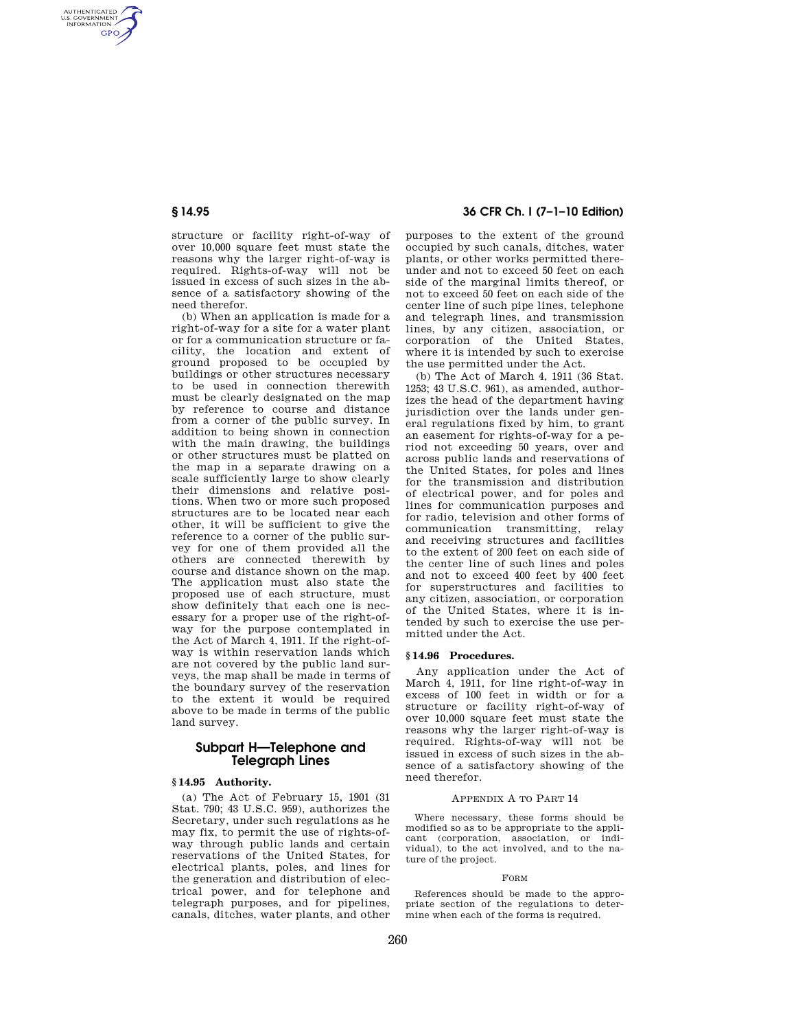AUTHENTICATED<br>U.S. GOVERNMENT<br>INFORMATION **GPO** 

> structure or facility right-of-way of over 10,000 square feet must state the reasons why the larger right-of-way is required. Rights-of-way will not be issued in excess of such sizes in the absence of a satisfactory showing of the need therefor.

> (b) When an application is made for a right-of-way for a site for a water plant or for a communication structure or facility, the location and extent of ground proposed to be occupied by buildings or other structures necessary to be used in connection therewith must be clearly designated on the map by reference to course and distance from a corner of the public survey. In addition to being shown in connection with the main drawing, the buildings or other structures must be platted on the map in a separate drawing on a scale sufficiently large to show clearly their dimensions and relative positions. When two or more such proposed structures are to be located near each other, it will be sufficient to give the reference to a corner of the public survey for one of them provided all the others are connected therewith by course and distance shown on the map. The application must also state the proposed use of each structure, must show definitely that each one is necessary for a proper use of the right-ofway for the purpose contemplated in the Act of March 4, 1911. If the right-ofway is within reservation lands which are not covered by the public land surveys, the map shall be made in terms of the boundary survey of the reservation to the extent it would be required above to be made in terms of the public land survey.

# **Subpart H—Telephone and Telegraph Lines**

#### **§ 14.95 Authority.**

(a) The Act of February 15, 1901 (31 Stat. 790; 43 U.S.C. 959), authorizes the Secretary, under such regulations as he may fix, to permit the use of rights-ofway through public lands and certain reservations of the United States, for electrical plants, poles, and lines for the generation and distribution of electrical power, and for telephone and telegraph purposes, and for pipelines, canals, ditches, water plants, and other

## **§ 14.95 36 CFR Ch. I (7–1–10 Edition)**

purposes to the extent of the ground occupied by such canals, ditches, water plants, or other works permitted thereunder and not to exceed 50 feet on each side of the marginal limits thereof, or not to exceed 50 feet on each side of the center line of such pipe lines, telephone and telegraph lines, and transmission lines, by any citizen, association, or corporation of the United States, where it is intended by such to exercise the use permitted under the Act.

(b) The Act of March 4, 1911 (36 Stat. 1253; 43 U.S.C. 961), as amended, authorizes the head of the department having jurisdiction over the lands under general regulations fixed by him, to grant an easement for rights-of-way for a period not exceeding 50 years, over and across public lands and reservations of the United States, for poles and lines for the transmission and distribution of electrical power, and for poles and lines for communication purposes and for radio, television and other forms of communication transmitting, relay and receiving structures and facilities to the extent of 200 feet on each side of the center line of such lines and poles and not to exceed 400 feet by 400 feet for superstructures and facilities to any citizen, association, or corporation of the United States, where it is intended by such to exercise the use permitted under the Act.

## **§ 14.96 Procedures.**

Any application under the Act of March 4, 1911, for line right-of-way in excess of 100 feet in width or for a structure or facility right-of-way of over 10,000 square feet must state the reasons why the larger right-of-way is required. Rights-of-way will not be issued in excess of such sizes in the absence of a satisfactory showing of the need therefor.

#### APPENDIX A TO PART 14

Where necessary, these forms should be modified so as to be appropriate to the applicant (corporation, association, or individual), to the act involved, and to the nature of the project.

#### FORM

References should be made to the appropriate section of the regulations to determine when each of the forms is required.